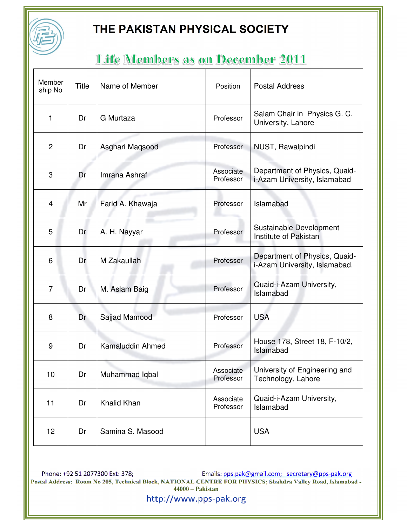

# Life Members as on December 2011

| Member<br>ship No | Title | Name of Member   | Position               | <b>Postal Address</b>                                          |
|-------------------|-------|------------------|------------------------|----------------------------------------------------------------|
| 1                 | Dr    | G Murtaza        | Professor              | Salam Chair in Physics G. C.<br>University, Lahore             |
| $\mathbf{2}$      | Dr    | Asghari Maqsood  | Professor              | NUST, Rawalpindi                                               |
| 3                 | Dr    | Imrana Ashraf    | Associate<br>Professor | Department of Physics, Quaid-<br>i-Azam University, Islamabad  |
| 4                 | Mr    | Farid A. Khawaja | Professor              | Islamabad                                                      |
| 5                 | Dr    | A. H. Nayyar     | Professor              | Sustainable Development<br>Institute of Pakistan               |
| 6                 | Dr    | M Zakaullah      | Professor              | Department of Physics, Quaid-<br>i-Azam University, Islamabad. |
| $\overline{7}$    | Dr    | M. Aslam Baig    | Professor              | Quaid-i-Azam University,<br>Islamabad                          |
| 8                 | Dr    | Sajjad Mamood    | Professor              | <b>USA</b>                                                     |
| 9                 | Dr    | Kamaluddin Ahmed | Professor              | House 178, Street 18, F-10/2,<br>Islamabad                     |
| 10                | Dr    | Muhammad Iqbal   | Associate<br>Professor | University of Engineering and<br>Technology, Lahore            |
| 11                | Dr    | Khalid Khan      | Associate<br>Professor | Quaid-i-Azam University,<br>Islamabad                          |
| 12                | Dr    | Samina S. Masood |                        | <b>USA</b>                                                     |

Phone: +92 51 2077300 Ext: 378;<br>Postal Address: Room No 205, Technical Block, NATIONAL CENTRE FOR PHYSICS; Shahdra Valley Road, Islamabad - $44000 - Pakistan$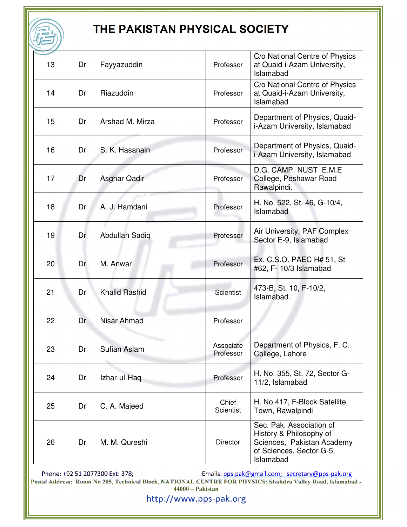| 13 | Dr | Fayyazuddin           | Professor                 | C/o National Centre of Physics<br>at Quaid-i-Azam University,<br>Islamabad                                                 |
|----|----|-----------------------|---------------------------|----------------------------------------------------------------------------------------------------------------------------|
| 14 | Dr | Riazuddin             | Professor                 | C/o National Centre of Physics<br>at Quaid-i-Azam University,<br>Islamabad                                                 |
| 15 | Dr | Arshad M. Mirza       | Professor                 | Department of Physics, Quaid-<br>i-Azam University, Islamabad                                                              |
| 16 | Dr | S. K. Hasanain        | Professor                 | Department of Physics, Quaid-<br>i-Azam University, Islamabad                                                              |
| 17 | Dr | Asghar Qadir          | Professor                 | D.G. CAMP, NUST E.M.E<br>College, Peshawar Road<br>Rawalpindi.                                                             |
| 18 | Dr | A. J. Hamdani         | Professor                 | H. No. 522, St. 46, G-10/4,<br>Islamabad                                                                                   |
| 19 | Dr | <b>Abdullah Sadiq</b> | Professor                 | Air University, PAF Complex<br>Sector E-9, Islamabad                                                                       |
| 20 | Dr | M. Anwar              | Professor                 | Ex. C.S.O. PAEC H# 51, St<br>#62, F- 10/3 Islamabad                                                                        |
| 21 | Dr | <b>Khalid Rashid</b>  | <b>Scientist</b>          | 473-B, St. 10, F-10/2,<br>Islamabad.                                                                                       |
| 22 | Dr | Nisar Ahmad           | Professor                 |                                                                                                                            |
| 23 | Dr | Sufian Aslam          | Associate<br>Professor    | Department of Physics, F. C.<br>College, Lahore                                                                            |
| 24 | Dr | Izhar-ul-Haq          | Professor                 | H. No. 355, St. 72, Sector G-<br>11/2, Islamabad                                                                           |
| 25 | Dr | C. A. Majeed          | Chief<br><b>Scientist</b> | H. No.417, F-Block Satellite<br>Town, Rawalpindi                                                                           |
| 26 | Dr | M. M. Qureshi         | <b>Director</b>           | Sec. Pak. Association of<br>History & Philosophy of<br>Sciences, Pakistan Academy<br>of Sciences, Sector G-5,<br>Islamabad |

Phone: +92 51 2077300 Ext: 378;<br>Postal Address: Room No 205, Technical Block, NATIONAL CENTRE FOR PHYSICS; Shahdra Valley Road, Islamabad -<br>44000 – Pakistan 44000 – Pakistan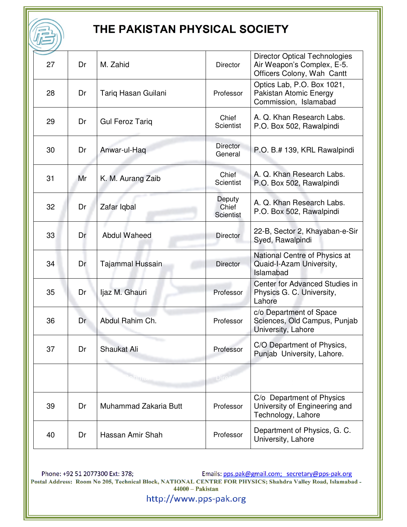| 27 | Dr | M. Zahid                | <b>Director</b>                     | <b>Director Optical Technologies</b><br>Air Weapon's Complex, E-5.<br>Officers Colony, Wah Cantt |
|----|----|-------------------------|-------------------------------------|--------------------------------------------------------------------------------------------------|
| 28 | Dr | Tariq Hasan Guilani     | Professor                           | Optics Lab, P.O. Box 1021,<br>Pakistan Atomic Energy<br>Commission, Islamabad                    |
| 29 | Dr | <b>Gul Feroz Tariq</b>  | Chief<br><b>Scientist</b>           | A. Q. Khan Research Labs.<br>P.O. Box 502, Rawalpindi                                            |
| 30 | Dr | Anwar-ul-Haq            | Director<br>General                 | P.O. B.# 139, KRL Rawalpindi                                                                     |
| 31 | Mr | K. M. Aurang Zaib       | Chief<br>Scientist                  | A. Q. Khan Research Labs.<br>P.O. Box 502, Rawalpindi                                            |
| 32 | Dr | Zafar Iqbal             | Deputy<br>Chief<br><b>Scientist</b> | A. Q. Khan Research Labs.<br>P.O. Box 502, Rawalpindi                                            |
| 33 | Dr | <b>Abdul Waheed</b>     | <b>Director</b>                     | 22-B, Sector 2, Khayaban-e-Sir<br>Syed, Rawalpindi                                               |
| 34 | Dr | <b>Tajammal Hussain</b> | <b>Director</b>                     | National Centre of Physics at<br>Quaid-I-Azam University,<br>Islamabad                           |
| 35 | Dr | Ijaz M. Ghauri          | Professor                           | Center for Advanced Studies in<br>Physics G. C. University,<br>Lahore                            |
| 36 | Dr | Abdul Rahim Ch.         | Professor                           | c/o Department of Space<br>Sciences, Old Campus, Punjab<br>University, Lahore                    |
| 37 | Dr | Shaukat Ali             | Professor                           | C/O Department of Physics,<br>Punjab University, Lahore.                                         |
|    |    | ahma                    | <b>Dire</b>                         |                                                                                                  |
| 39 | Dr | Muhammad Zakaria Butt   | Professor                           | C/o Department of Physics<br>University of Engineering and<br>Technology, Lahore                 |
| 40 | Dr | Hassan Amir Shah        | Professor                           | Department of Physics, G. C.<br>University, Lahore                                               |

Phone: +92 51 2077300 Ext: 378;<br>Postal Address: Room No 205, Technical Block, NATIONAL CENTRE FOR PHYSICS; Shahdra Valley Road, Islamabad -<br>44000 – Pakistan 44000 – Pakistan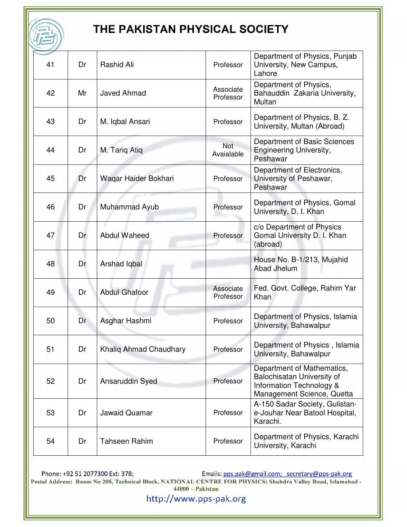| 41 | Dr | Rashid Ali             | Professor              | Department of Physics, Punjab<br>University, New Campus,<br>Lahore                                                 |
|----|----|------------------------|------------------------|--------------------------------------------------------------------------------------------------------------------|
| 42 | Mr | <b>Javed Ahmad</b>     | Associate<br>Professor | Department of Physics,<br>Bahauddin Zakaria University,<br>Multan                                                  |
| 43 | Dr | M. Iqbal Ansari        | Professor              | Department of Physics, B. Z.<br>University, Multan (Abroad)                                                        |
| 44 | Dr | M. Tariq Atiq          | Not<br>Avaialable      | Department of Basic Sciences<br><b>Engineering University,</b><br>Peshawar                                         |
| 45 | Dr | Waqar Haider Bokhari   | Professor              | Department of Electronics,<br>University of Peshawar,<br>Peshawar                                                  |
| 46 | Dr | Muhammad Ayub          | Professor              | Department of Physics, Gomal<br>University, D. I. Khan                                                             |
| 47 | Dr | <b>Abdul Waheed</b>    | Professor              | c/o Department of Physics<br>Gomal University D. I. Khan<br>(abroad)                                               |
| 48 | Dr | Arshad Iqbal           |                        | House No. B-1/213, Mujahid<br>Abad Jhelum                                                                          |
| 49 | Dr | <b>Abdul Ghafoor</b>   | Associate<br>Professor | Fed. Govt. College, Rahim Yar<br>Khan                                                                              |
| 50 | Dr | Asghar Hashmi          | Professor              | Department of Physics, Islamia<br>University, Bahawalpur                                                           |
| 51 | Dr | Khalig Ahmad Chaudhary | Professor              | Department of Physics,<br>Islamia<br>University, Bahawalpur                                                        |
| 52 | Dr | Ansaruddin Syed        | Professor              | Department of Mathematics,<br>Balochisatan University of<br>Information Technology &<br>Management Science, Quetta |
| 53 | Dr | <b>Jawaid Quamar</b>   | Professor              | A-150 Sadar Society, Gulistan-<br>e-Jouhar Near Batool Hospital,<br>Karachi.                                       |
| 54 | Dr | <b>Tahseen Rahim</b>   | Professor              | Department of Physics, Karachi<br>University, Karachi                                                              |

Phone: +92 51 2077300 Ext: 378;<br>Postal Address: Room No 205, Technical Block, NATIONAL CENTRE FOR PHYSICS; Shahdra Valley Road, Islamabad -<br>44000 – Pakistan 44000 – Pakistan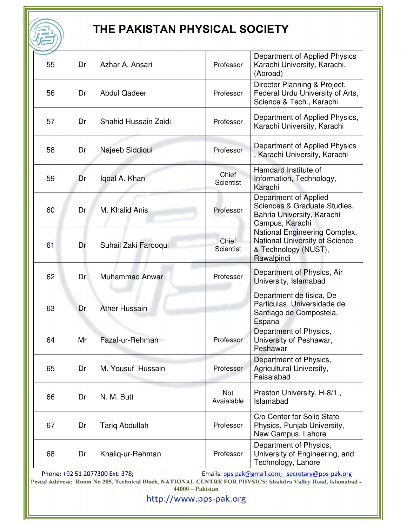|    |    | THE PAKISTAN PHYSICAL SOCIETY |                    |                                                                                                        |
|----|----|-------------------------------|--------------------|--------------------------------------------------------------------------------------------------------|
| 55 | Dr | Azhar A. Ansari               | Professor          | Department of Applied Physics<br>Karachi University, Karachi.<br>(Abroad)                              |
| 56 | Dr | <b>Abdul Qadeer</b>           | Professor          | Director Planning & Project,<br>Federal Urdu University of Arts,<br>Science & Tech., Karachi.          |
| 57 | Dr | Shahid Hussain Zaidi          | Professor          | Department of Applied Physics,<br>Karachi University, Karachi                                          |
| 58 | Dr | Najeeb Siddiqui               | Professor          | Department of Applied Physics<br>, Karachi University, Karachi                                         |
| 59 | Dr | Iqbal A. Khan                 | Chief<br>Scientist | Hamdard Institute of<br>Information, Technology,<br>Karachi                                            |
| 60 | Dr | M. Khalid Anis                | Professor          | Department of Applied<br>Sciences & Graduate Studies,<br>Bahria University, Karachi<br>Campus, Karachi |
| 61 | Dr | Suhail Zaki Farooqui          | Chief<br>Scientist | National Engineering Complex,<br>National University of Science<br>& Technology (NUST),<br>Rawalpindi  |
| 62 | Dr | <b>Muhammad Anwar</b>         | Professor          | Department of Physics, Air<br>University, Islamabad                                                    |
| 63 | Dr | <b>Ather Hussain</b>          |                    | Department de fisica, De<br>Particulas, Universidade de<br>Santiago de Compostela,<br>Espana           |
| 64 | Mr | Fazal-ur-Rehman               | Professor          | Department of Physics,<br>University of Peshawar,<br>Peshawar                                          |
| 65 | Dr | M. Yousuf Hussain             | Professor          | Department of Physics,<br>Agricultural University,<br>Faisalabad                                       |
| 66 | Dr | N. M. Butt                    | Not<br>Avaialable  | Preston University, H-8/1,<br>Islamabad                                                                |
| 67 | Dr | <b>Tariq Abdullah</b>         | Professor          | C/o Center for Solid State<br>Physics, Punjab University,<br>New Campus, Lahore                        |
| 68 | Dr | Khaliq-ur-Rehman              | Professor          | Department of Physics,<br>University of Engineering, and<br>Technology, Lahore                         |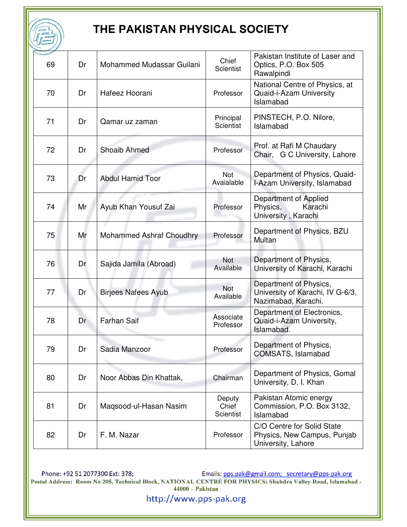| 69 | Dr | Mohammed Mudassar Guilani       | Chief<br>Scientist           | Pakistan Institute of Laser and<br>Optics, P.O. Box 505<br>Rawalpindi             |
|----|----|---------------------------------|------------------------------|-----------------------------------------------------------------------------------|
| 70 | Dr | Hafeez Hoorani                  | Professor                    | National Centre of Physics, at<br>Quaid-i-Azam University<br>Islamabad            |
| 71 | Dr | Qamar uz zaman                  | Principal<br>Scientist       | PINSTECH, P.O. Nilore,<br>Islamabad                                               |
| 72 | Dr | <b>Shoaib Ahmed</b>             | Professor                    | Prof. at Rafi M Chaudary<br>Chair, G C University, Lahore                         |
| 73 | Dr | <b>Abdul Hamid Toor</b>         | Not<br>Avaialable            | Department of Physics, Quaid-<br>I-Azam University, Islamabad                     |
| 74 | Mr | Ayub Khan Yousuf Zai            | Professor                    | Department of Applied<br>Physics,<br>Karachi<br>University, Karachi               |
| 75 | Mr | <b>Mohammed Ashraf Choudhry</b> | Professor                    | Department of Physics, BZU<br>Multan                                              |
| 76 | Dr | Sajida Jamila (Abroad)          | <b>Not</b><br>Available      | Department of Physics,<br>University of Karachi, Karachi                          |
| 77 | Dr | <b>Birjees Nafees Ayub</b>      | <b>Not</b><br>Available      | Department of Physics,<br>University of Karachi, IV G-6/3,<br>Nazimabad, Karachi. |
| 78 | Dr | <b>Farhan Saif</b>              | Associate<br>Professor       | Department of Electronics,<br>Quaid-i-Azam University,<br>Islamabad.              |
| 79 | Dr | Sadia Manzoor                   | Professor                    | Department of Physics,<br>COMSATS, Islamabad                                      |
| 80 | Dr | Noor Abbas Din Khattak,         | Chairman                     | Department of Physics, Gomal<br>University, D. I. Khan                            |
| 81 | Dr | Maqsood-ul-Hasan Nasim          | Deputy<br>Chief<br>Scientist | Pakistan Atomic energy<br>Commission, P.O. Box 3132,<br>Islamabad                 |
| 82 | Dr | F. M. Nazar                     | Professor                    | C/O Centre for Solid State<br>Physics, New Campus, Punjab<br>University, Lahore   |

Phone: +92 51 2077300 Ext: 378;<br>Postal Address: Room No 205, Technical Block, NATIONAL CENTRE FOR PHYSICS; Shahdra Valley Road, Islamabad -<br>44000 – Pakistan 44000 – Pakistan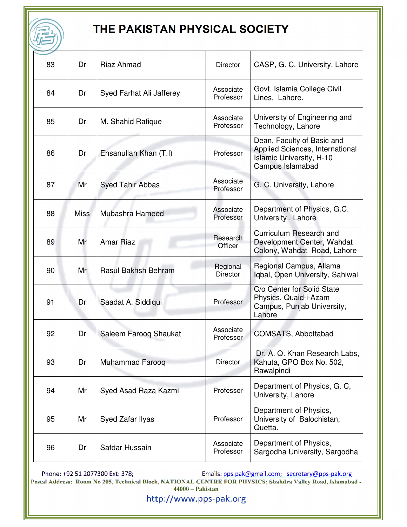| 83 | Dr          | Riaz Ahmad               | <b>Director</b>             | CASP, G. C. University, Lahore                                                                                       |
|----|-------------|--------------------------|-----------------------------|----------------------------------------------------------------------------------------------------------------------|
| 84 | Dr          | Syed Farhat Ali Jafferey | Associate<br>Professor      | Govt. Islamia College Civil<br>Lines, Lahore.                                                                        |
| 85 | Dr          | M. Shahid Rafique        | Associate<br>Professor      | University of Engineering and<br>Technology, Lahore                                                                  |
| 86 | Dr          | Ehsanullah Khan (T.I)    | Professor                   | Dean, Faculty of Basic and<br>Applied Sciences, International<br><b>Islamic University, H-10</b><br>Campus Islamabad |
| 87 | Mr          | <b>Syed Tahir Abbas</b>  | Associate<br>Professor      | G. C. University, Lahore                                                                                             |
| 88 | <b>Miss</b> | Mubashra Hameed          | Associate<br>Professor      | Department of Physics, G.C.<br>University, Lahore                                                                    |
| 89 | Mr          | <b>Amar Riaz</b>         | Research<br>Officer         | Curriculum Research and<br>Development Center, Wahdat<br>Colony, Wahdat Road, Lahore                                 |
| 90 | Mr          | Rasul Bakhsh Behram      | Regional<br><b>Director</b> | Regional Campus, Allama<br>Iqbal, Open University, Sahiwal                                                           |
| 91 | Dr          | Saadat A. Siddiqui       | Professor                   | C/o Center for Solid State<br>Physics, Quaid-i-Azam<br>Campus, Punjab University,<br>Lahore                          |
| 92 | Dr          | Saleem Faroog Shaukat    | Associate<br>Professor      | COMSATS, Abbottabad                                                                                                  |
| 93 | Dr          | <b>Muhammad Farooq</b>   | <b>Director</b>             | Dr. A. Q. Khan Research Labs,<br>Kahuta, GPO Box No. 502,<br>Rawalpindi                                              |
| 94 | Mr          | Syed Asad Raza Kazmi     | Professor                   | Department of Physics, G. C,<br>University, Lahore                                                                   |
| 95 | Mr          | Syed Zafar Ilyas         | Professor                   | Department of Physics,<br>University of Balochistan,<br>Quetta.                                                      |
| 96 | Dr          | Safdar Hussain           | Associate<br>Professor      | Department of Physics,<br>Sargodha University, Sargodha                                                              |

Phone: +92 51 2077300 Ext: 378;<br>Postal Address: Room No 205, Technical Block, NATIONAL CENTRE FOR PHYSICS; Shahdra Valley Road, Islamabad -<br>44000 – Pakistan 44000 – Pakistan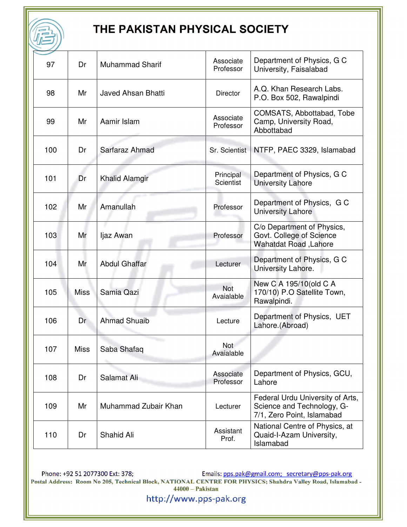| 97  | Dr          | <b>Muhammad Sharif</b>    | Associate<br>Professor        | Department of Physics, G C<br>University, Faisalabad                                         |
|-----|-------------|---------------------------|-------------------------------|----------------------------------------------------------------------------------------------|
| 98  | Mr          | <b>Javed Ahsan Bhatti</b> | <b>Director</b>               | A.Q. Khan Research Labs.<br>P.O. Box 502, Rawalpindi                                         |
| 99  | Mr          | Aamir Islam               | Associate<br>Professor        | COMSATS, Abbottabad, Tobe<br>Camp, University Road,<br>Abbottabad                            |
| 100 | Dr          | Sarfaraz Ahmad            | Sr. Scientist                 | NTFP, PAEC 3329, Islamabad                                                                   |
| 101 | Dr          | <b>Khalid Alamgir</b>     | Principal<br><b>Scientist</b> | Department of Physics, G C<br><b>University Lahore</b>                                       |
| 102 | Mr          | Amanullah                 | Professor                     | Department of Physics, G C<br><b>University Lahore</b>                                       |
| 103 | Mr          | ljaz Awan                 | Professor                     | C/o Department of Physics,<br>Govt. College of Science<br><b>Wahatdat Road, Lahore</b>       |
| 104 | Mr          | <b>Abdul Ghaffar</b>      | Lecturer                      | Department of Physics, G C<br>University Lahore.                                             |
| 105 | <b>Miss</b> | Samia Qazi                | <b>Not</b><br>Avaialable      | New C A 195/10 (old C A<br>170/10) P.O Satellite Town,<br>Rawalpindi.                        |
| 106 | Dr          | <b>Ahmad Shuaib</b>       | Lecture                       | Department of Physics, UET<br>Lahore.(Abroad)                                                |
| 107 | Miss        | Saba Shafaq               | <b>Not</b><br>Avaialable      |                                                                                              |
| 108 | Dr          | Salamat Ali               | Associate<br>Professor        | Department of Physics, GCU,<br>Lahore                                                        |
| 109 | Mr          | Muhammad Zubair Khan      | Lecturer                      | Federal Urdu University of Arts,<br>Science and Technology, G-<br>7/1, Zero Point, Islamabad |
| 110 | Dr          | Shahid Ali                | Assistant<br>Prof.            | National Centre of Physics, at<br>Quaid-I-Azam University,<br>Islamabad                      |

Phone: +92 51 2077300 Ext: 378;<br>Postal Address: Room No 205, Technical Block, NATIONAL CENTRE FOR PHYSICS; Shahdra Valley Road, Islamabad -<br>44000 – Pakistan 44000 – Pakistan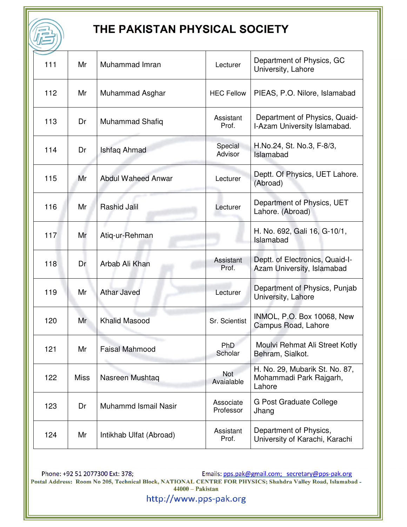| 111 | Mr          | Muhammad Imran            | Lecturer               | Department of Physics, GC<br>University, Lahore                     |
|-----|-------------|---------------------------|------------------------|---------------------------------------------------------------------|
| 112 | Mr          | Muhammad Asghar           | <b>HEC Fellow</b>      | PIEAS, P.O. Nilore, Islamabad                                       |
| 113 | Dr          | <b>Muhammad Shafiq</b>    | Assistant<br>Prof.     | Department of Physics, Quaid-<br>I-Azam University Islamabad.       |
| 114 | Dr          | Ishfaq Ahmad              | Special<br>Advisor     | H.No.24, St. No.3, F-8/3,<br>Islamabad                              |
| 115 | Mr          | <b>Abdul Waheed Anwar</b> | Lecturer               | Deptt. Of Physics, UET Lahore.<br>(Abroad)                          |
| 116 | Mr          | Rashid Jalil              | Lecturer               | Department of Physics, UET<br>Lahore. (Abroad)                      |
| 117 | Mr          | Atiq-ur-Rehman            |                        | H. No. 692, Gali 16, G-10/1,<br>Islamabad                           |
| 118 | Dr          | Arbab Ali Khan            | Assistant<br>Prof.     | Deptt. of Electronics, Quaid-I-<br>Azam University, Islamabad       |
| 119 | Mr          | <b>Athar Javed</b>        | Lecturer               | Department of Physics, Punjab<br>University, Lahore                 |
| 120 | Mr          | <b>Khalid Masood</b>      | Sr. Scientist          | INMOL, P.O. Box 10068, New<br>Campus Road, Lahore                   |
| 121 | Mr          | <b>Faisal Mahmood</b>     | PhD<br>Scholar         | Moulvi Rehmat Ali Street Kotly<br>Behram, Sialkot.                  |
| 122 | <b>Miss</b> | Nasreen Mushtaq           | Not<br>Avaialable      | H. No. 29, Mubarik St. No. 87,<br>Mohammadi Park Rajgarh,<br>Lahore |
| 123 | Dr          | Muhammd Ismail Nasir      | Associate<br>Professor | G Post Graduate College<br>Jhang                                    |
| 124 | Mr          | Intikhab Ulfat (Abroad)   | Assistant<br>Prof.     | Department of Physics,<br>University of Karachi, Karachi            |

Phone: +92 51 2077300 Ext: 378;<br>Postal Address: Room No 205, Technical Block, NATIONAL CENTRE FOR PHYSICS; Shahdra Valley Road, Islamabad -<br>44000 – Pakistan 44000 – Pakistan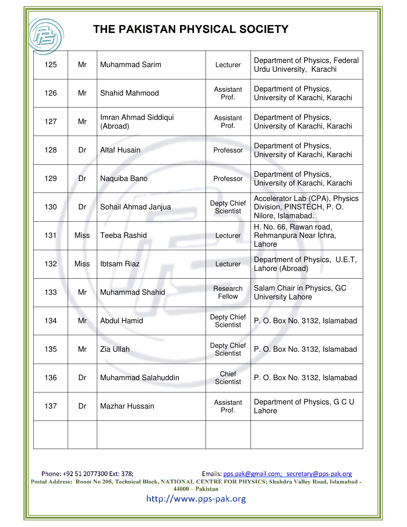| 125 | Mr          | <b>Muhammad Sarim</b>            | Lecturer                        | Department of Physics, Federal<br>Urdu University, Karachi                       |
|-----|-------------|----------------------------------|---------------------------------|----------------------------------------------------------------------------------|
| 126 | Mr          | <b>Shahid Mahmood</b>            | Assistant<br>Prof.              | Department of Physics,<br>University of Karachi, Karachi                         |
| 127 | Mr          | Imran Ahmad Siddiqui<br>(Abroad) | Assistant<br>Prof.              | Department of Physics,<br>University of Karachi, Karachi                         |
| 128 | Dr          | <b>Altaf Husain</b>              | Professor                       | Department of Physics,<br>University of Karachi, Karachi                         |
| 129 | Dr          | Naquiba Bano                     | Professor                       | Department of Physics,<br>University of Karachi, Karachi                         |
| 130 | Dr          | Sohail Ahmad Janjua              | Depty Chief<br>Scientist        | Accelerator Lab (CPA), Physics<br>Division, PINSTECH, P.O.<br>Nilore, Islamabad. |
| 131 | <b>Miss</b> | <b>Teeba Rashid</b>              | Lecturer                        | H. No. 66, Rawan road,<br>Rehmanpura Near Ichra,<br>Lahore                       |
| 132 | <b>Miss</b> | <b>Ibtsam Riaz</b>               | Lecturer                        | Department of Physics, U.E.T,<br>Lahore (Abroad)                                 |
| 133 | Mr          | <b>Muhammad Shahid</b>           | Research<br>Fellow              | Salam Chair in Physics, GC<br><b>University Lahore</b>                           |
| 134 | Mr          | <b>Abdul Hamid</b>               | Depty Chief<br><b>Scientist</b> | P. O. Box No. 3132, Islamabad                                                    |
| 135 | Mr          | Zia Ullah                        | Depty Chief<br><b>Scientist</b> | P. O. Box No. 3132, Islamabad                                                    |
| 136 | Dr          | Muhammad Salahuddin              | Chief<br><b>Scientist</b>       | P. O. Box No. 3132, Islamabad                                                    |
| 137 | Dr          | Mazhar Hussain                   | Assistant<br>Prof.              | Department of Physics, G C U<br>Lahore                                           |
|     |             |                                  |                                 |                                                                                  |
|     |             |                                  |                                 |                                                                                  |

Phone: +92 51 2077300 Ext: 378;<br>Postal Address: Room No 205, Technical Block, NATIONAL CENTRE FOR PHYSICS; Shahdra Valley Road, Islamabad -<br>44000 – Pakistan 44000 – Pakistan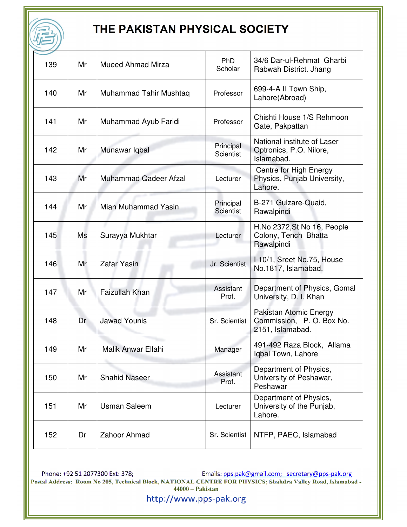| 139 | Mr | <b>Mueed Ahmad Mirza</b>     | <b>PhD</b><br>Scholar         | 34/6 Dar-ul-Rehmat Gharbi<br>Rabwah District. Jhang                     |
|-----|----|------------------------------|-------------------------------|-------------------------------------------------------------------------|
| 140 | Mr | Muhammad Tahir Mushtaq       | Professor                     | 699-4-A II Town Ship,<br>Lahore(Abroad)                                 |
| 141 | Mr | Muhammad Ayub Faridi         | Professor                     | Chishti House 1/S Rehmoon<br>Gate, Pakpattan                            |
| 142 | Mr | Munawar Iqbal                | Principal<br><b>Scientist</b> | National institute of Laser<br>Optronics, P.O. Nilore,<br>Islamabad.    |
| 143 | Mr | <b>Muhammad Qadeer Afzal</b> | Lecturer                      | <b>Centre for High Energy</b><br>Physics, Punjab University,<br>Lahore. |
| 144 | Mr | Mian Muhammad Yasin          | Principal<br><b>Scientist</b> | B-271 Gulzare-Quaid,<br>Rawalpindi                                      |
| 145 | Ms | Surayya Mukhtar              | Lecturer                      | H.No 2372, St No 16, People<br>Colony, Tench Bhatta<br>Rawalpindi       |
| 146 | Mr | <b>Zafar Yasin</b>           | Jr. Scientist                 | I-10/1, Sreet No.75, House<br>No.1817, Islamabad.                       |
| 147 | Mr | <b>Faizullah Khan</b>        | Assistant<br>Prof.            | Department of Physics, Gomal<br>University, D. I. Khan                  |
| 148 | Dr | <b>Jawad Younis</b>          | Sr. Scientist                 | Pakistan Atomic Energy<br>Commission, P.O. Box No.<br>2151, Islamabad.  |
| 149 | Mr | Malik Anwar Ellahi           | Manager                       | 491-492 Raza Block, Allama<br>Iqbal Town, Lahore                        |
| 150 | Mr | <b>Shahid Naseer</b>         | Assistant<br>Prof.            | Department of Physics,<br>University of Peshawar,<br>Peshawar           |
| 151 | Mr | <b>Usman Saleem</b>          | Lecturer                      | Department of Physics,<br>University of the Punjab,<br>Lahore.          |
| 152 | Dr | Zahoor Ahmad                 | Sr. Scientist                 | NTFP, PAEC, Islamabad                                                   |

Phone: +92 51 2077300 Ext: 378;<br>Postal Address: Room No 205, Technical Block, NATIONAL CENTRE FOR PHYSICS; Shahdra Valley Road, Islamabad -<br>44000 – Pakistan 44000 – Pakistan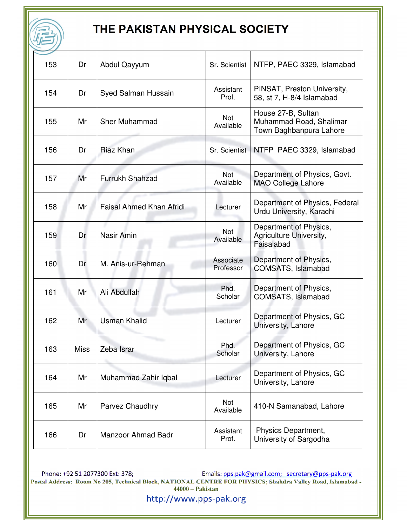| 153 | Dr   | Abdul Qayyum                    | Sr. Scientist          | NTFP, PAEC 3329, Islamabad                                               |
|-----|------|---------------------------------|------------------------|--------------------------------------------------------------------------|
| 154 | Dr   | Syed Salman Hussain             | Assistant<br>Prof.     | PINSAT, Preston University,<br>58, st 7, H-8/4 Islamabad                 |
| 155 | Mr   | <b>Sher Muhammad</b>            | Not<br>Available       | House 27-B, Sultan<br>Muhammad Road, Shalimar<br>Town Baghbanpura Lahore |
| 156 | Dr   | <b>Riaz Khan</b>                | Sr. Scientist          | NTFP PAEC 3329, Islamabad                                                |
| 157 | Mr   | Furrukh Shahzad                 | Not<br>Available       | Department of Physics, Govt.<br><b>MAO College Lahore</b>                |
| 158 | Mr   | <b>Faisal Ahmed Khan Afridi</b> | Lecturer               | Department of Physics, Federal<br>Urdu University, Karachi               |
| 159 | Dr   | Nasir Amin                      | Not<br>Available       | Department of Physics,<br>Agriculture University,<br>Faisalabad          |
| 160 | Dr   | M. Anis-ur-Rehman               | Associate<br>Professor | Department of Physics,<br>COMSATS, Islamabad                             |
| 161 | Mr   | Ali Abdullah                    | Phd.<br>Scholar        | Department of Physics,<br>COMSATS, Islamabad                             |
| 162 | Mr   | <b>Usman Khalid</b>             | Lecturer               | Department of Physics, GC<br>University, Lahore                          |
| 163 | Miss | Zeba Israr                      | Phd.<br>Scholar        | Department of Physics, GC<br>University, Lahore                          |
| 164 | Mr   | Muhammad Zahir Iqbal            | Lecturer               | Department of Physics, GC<br>University, Lahore                          |
| 165 | Mr   | Parvez Chaudhry                 | Not<br>Available       | 410-N Samanabad, Lahore                                                  |
| 166 | Dr   | Manzoor Ahmad Badr              | Assistant<br>Prof.     | Physics Department,<br>University of Sargodha                            |

Phone: +92 51 2077300 Ext: 378;<br>Postal Address: Room No 205, Technical Block, NATIONAL CENTRE FOR PHYSICS; Shahdra Valley Road, Islamabad -<br>44000 – Pakistan 44000 – Pakistan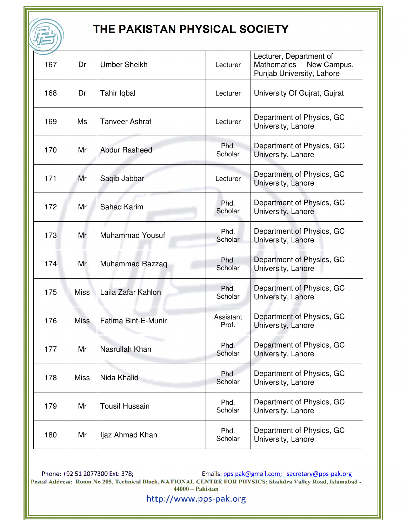| 167 | Dr          | <b>Umber Sheikh</b>    | Lecturer           | Lecturer, Department of<br><b>Mathematics</b><br>New Campus, |
|-----|-------------|------------------------|--------------------|--------------------------------------------------------------|
| 168 | Dr          |                        |                    | Punjab University, Lahore                                    |
|     |             | Tahir Iqbal            | Lecturer           | University Of Gujrat, Gujrat                                 |
| 169 | Ms          | <b>Tanveer Ashraf</b>  | Lecturer           | Department of Physics, GC<br>University, Lahore              |
| 170 | Mr          | <b>Abdur Rasheed</b>   | Phd.<br>Scholar    | Department of Physics, GC<br>University, Lahore              |
| 171 | Mr          | Saqib Jabbar           | Lecturer           | Department of Physics, GC<br>University, Lahore              |
| 172 | Mr          | <b>Sahad Karim</b>     | Phd.<br>Scholar    | Department of Physics, GC<br>University, Lahore              |
| 173 | Mr          | <b>Muhammad Yousuf</b> | Phd.<br>Scholar    | Department of Physics, GC<br>University, Lahore              |
| 174 | Mr          | Muhammad Razzaq        | Phd.<br>Scholar    | Department of Physics, GC<br>University, Lahore              |
| 175 | <b>Miss</b> | Laila Zafar Kahlon     | Phd.<br>Scholar    | Department of Physics, GC<br>University, Lahore              |
| 176 | <b>Miss</b> | Fatima Bint-E-Munir    | Assistant<br>Prof. | Department of Physics, GC<br>University, Lahore              |
| 177 | Mr          | Nasrullah Khan         | Phd.<br>Scholar    | Department of Physics, GC<br>University, Lahore              |
| 178 | <b>Miss</b> | Nida Khalid            | Phd.<br>Scholar    | Department of Physics, GC<br>University, Lahore              |
| 179 | Mr          | <b>Tousif Hussain</b>  | Phd.<br>Scholar    | Department of Physics, GC<br>University, Lahore              |
| 180 | Mr          | ljaz Ahmad Khan        | Phd.<br>Scholar    | Department of Physics, GC<br>University, Lahore              |

Phone: +92 51 2077300 Ext: 378;<br>Postal Address: Room No 205, Technical Block, NATIONAL CENTRE FOR PHYSICS; Shahdra Valley Road, Islamabad -<br>44000 – Pakistan 44000 – Pakistan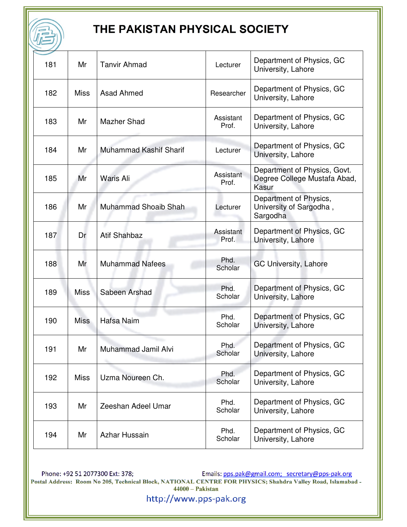| 181 | Mr          | <b>Tanvir Ahmad</b>           | Lecturer           | Department of Physics, GC<br>University, Lahore                       |
|-----|-------------|-------------------------------|--------------------|-----------------------------------------------------------------------|
| 182 | <b>Miss</b> | Asad Ahmed                    | Researcher         | Department of Physics, GC<br>University, Lahore                       |
| 183 | Mr          | <b>Mazher Shad</b>            | Assistant<br>Prof. | Department of Physics, GC<br>University, Lahore                       |
| 184 | Mr          | <b>Muhammad Kashif Sharif</b> | Lecturer           | Department of Physics, GC<br>University, Lahore                       |
| 185 | Mr          | Waris Ali                     | Assistant<br>Prof. | Department of Physics, Govt.<br>Degree College Mustafa Abad,<br>Kasur |
| 186 | Mr          | Muhammad Shoaib Shah          | Lecturer           | Department of Physics,<br>University of Sargodha,<br>Sargodha         |
| 187 | Dr          | <b>Atif Shahbaz</b>           | Assistant<br>Prof. | Department of Physics, GC<br>University, Lahore                       |
| 188 | Mr          | <b>Muhammad Nafees</b>        | Phd.<br>Scholar    | GC University, Lahore                                                 |
| 189 | <b>Miss</b> | Sabeen Arshad                 | Phd.<br>Scholar    | Department of Physics, GC<br>University, Lahore                       |
| 190 | <b>Miss</b> | Hafsa Naim                    | Phd.<br>Scholar    | Department of Physics, GC<br>University, Lahore                       |
| 191 | Mr          | Muhammad Jamil Alvi           | Phd.<br>Scholar    | Department of Physics, GC<br>University, Lahore                       |
| 192 | <b>Miss</b> | Uzma Noureen Ch.              | Phd.<br>Scholar    | Department of Physics, GC<br>University, Lahore                       |
| 193 | Mr          | Zeeshan Adeel Umar            | Phd.<br>Scholar    | Department of Physics, GC<br>University, Lahore                       |
| 194 | Mr          | Azhar Hussain                 | Phd.<br>Scholar    | Department of Physics, GC<br>University, Lahore                       |

Phone: +92 51 2077300 Ext: 378;<br>Postal Address: Room No 205, Technical Block, NATIONAL CENTRE FOR PHYSICS; Shahdra Valley Road, Islamabad -<br>44000 – Pakistan 1990 – Pakistan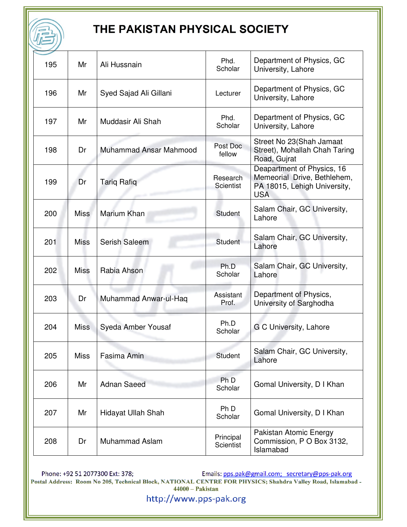| 195 | Mr          | Ali Hussnain              | Phd.<br>Scholar        | Department of Physics, GC<br>University, Lahore                                                         |
|-----|-------------|---------------------------|------------------------|---------------------------------------------------------------------------------------------------------|
| 196 | Mr          | Syed Sajad Ali Gillani    | Lecturer               | Department of Physics, GC<br>University, Lahore                                                         |
| 197 | Mr          | Muddasir Ali Shah         | Phd.<br>Scholar        | Department of Physics, GC<br>University, Lahore                                                         |
| 198 | Dr          | Muhammad Ansar Mahmood    | Post Doc<br>fellow     | Street No 23(Shah Jamaat<br>Street), Mohallah Chah Taring<br>Road, Gujrat                               |
| 199 | Dr          | <b>Tarig Rafig</b>        | Research<br>Scientist  | Deapartment of Physics, 16<br>Memeorial Drive, Bethlehem,<br>PA 18015, Lehigh University,<br><b>USA</b> |
| 200 | <b>Miss</b> | Marium Khan               | Student                | Salam Chair, GC University,<br>Lahore                                                                   |
| 201 | Miss        | Serish Saleem             | Student                | Salam Chair, GC University,<br>Lahore                                                                   |
| 202 | Miss        | Rabia Ahson               | Ph.D<br>Scholar        | Salam Chair, GC University,<br>Lahore                                                                   |
| 203 | Dr          | Muhammad Anwar-ul-Haq     | Assistant<br>Prof.     | Department of Physics,<br>University of Sarghodha                                                       |
| 204 | <b>Miss</b> | Syeda Amber Yousaf        | Ph.D<br>Scholar        | G C University, Lahore                                                                                  |
| 205 | <b>Miss</b> | Fasima Amin               | Student                | Salam Chair, GC University,<br>Lahore                                                                   |
| 206 | Mr          | <b>Adnan Saeed</b>        | Ph D<br>Scholar        | Gomal University, D I Khan                                                                              |
| 207 | Mr          | <b>Hidayat Ullah Shah</b> | Ph D<br>Scholar        | Gomal University, D I Khan                                                                              |
| 208 | Dr          | <b>Muhammad Aslam</b>     | Principal<br>Scientist | Pakistan Atomic Energy<br>Commission, P O Box 3132,<br>Islamabad                                        |

Phone: +92 51 2077300 Ext: 378;<br>Postal Address: Room No 205, Technical Block, NATIONAL CENTRE FOR PHYSICS; Shahdra Valley Road, Islamabad -<br>44000 – Pakistan 44000 – Pakistan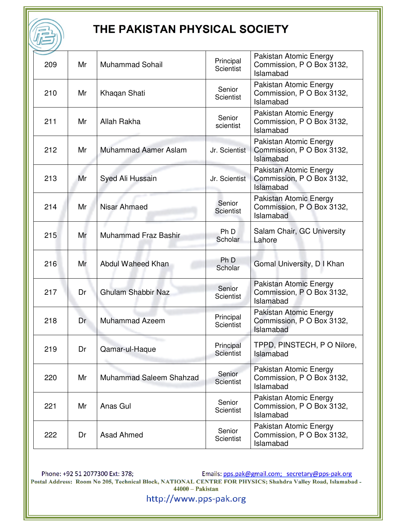| 209 | Mr | <b>Muhammad Sohail</b>      | Principal<br><b>Scientist</b> | Pakistan Atomic Energy<br>Commission, P O Box 3132,<br>Islamabad |
|-----|----|-----------------------------|-------------------------------|------------------------------------------------------------------|
| 210 | Mr | Khaqan Shati                | Senior<br><b>Scientist</b>    | Pakistan Atomic Energy<br>Commission, P O Box 3132,<br>Islamabad |
| 211 | Mr | Allah Rakha                 | Senior<br>scientist           | Pakistan Atomic Energy<br>Commission, P O Box 3132,<br>Islamabad |
| 212 | Mr | <b>Muhammad Aamer Aslam</b> | Jr. Scientist                 | Pakistan Atomic Energy<br>Commission, P O Box 3132,<br>Islamabad |
| 213 | Mr | Syed Ali Hussain            | Jr. Scientist                 | Pakistan Atomic Energy<br>Commission, P O Box 3132,<br>Islamabad |
| 214 | Mr | Nisar Ahmaed                | Senior<br><b>Scientist</b>    | Pakistan Atomic Energy<br>Commission, P O Box 3132,<br>Islamabad |
| 215 | Mr | <b>Muhammad Fraz Bashir</b> | Ph <sub>D</sub><br>Scholar    | Salam Chair, GC University<br>Lahore                             |
| 216 | Mr | Abdul Waheed Khan           | Ph D<br>Scholar               | Gomal University, D I Khan                                       |
| 217 | Dr | <b>Ghulam Shabbir Naz</b>   | Senior<br><b>Scientist</b>    | Pakistan Atomic Energy<br>Commission, P O Box 3132,<br>Islamabad |
| 218 | Dr | <b>Muhammad Azeem</b>       | Principal<br>Scientist        | Pakistan Atomic Energy<br>Commission, P O Box 3132,<br>Islamabad |
| 219 | Dr | Qamar-ul-Haque              | Principal<br><b>Scientist</b> | TPPD, PINSTECH, PO Nilore,<br>Islamabad                          |
| 220 | Mr | Muhammad Saleem Shahzad     | Senior<br><b>Scientist</b>    | Pakistan Atomic Energy<br>Commission, P O Box 3132,<br>Islamabad |
| 221 | Mr | Anas Gul                    | Senior<br><b>Scientist</b>    | Pakistan Atomic Energy<br>Commission, P O Box 3132,<br>Islamabad |
| 222 | Dr | Asad Ahmed                  | Senior<br>Scientist           | Pakistan Atomic Energy<br>Commission, P O Box 3132,<br>Islamabad |

Phone: +92 51 2077300 Ext: 378;<br>Postal Address: Room No 205, Technical Block, NATIONAL CENTRE FOR PHYSICS; Shahdra Valley Road, Islamabad -<br>44000 – Pakistan 44000 – Pakistan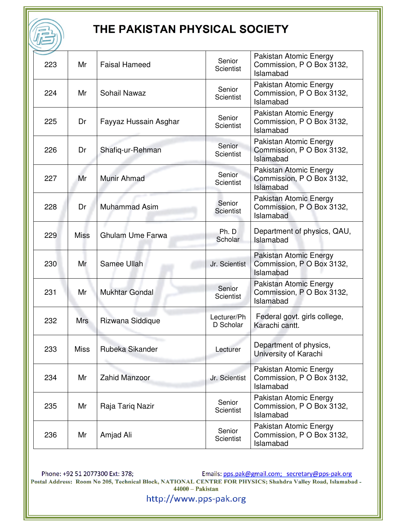| 223 | Mr          | <b>Faisal Hameed</b>    | Senior<br><b>Scientist</b> | Pakistan Atomic Energy<br>Commission, P O Box 3132,<br>Islamabad |
|-----|-------------|-------------------------|----------------------------|------------------------------------------------------------------|
| 224 | Mr          | Sohail Nawaz            | Senior<br>Scientist        | Pakistan Atomic Energy<br>Commission, P O Box 3132,<br>Islamabad |
| 225 | Dr          | Fayyaz Hussain Asghar   | Senior<br><b>Scientist</b> | Pakistan Atomic Energy<br>Commission, P O Box 3132,<br>Islamabad |
| 226 | Dr          | Shafiq-ur-Rehman        | Senior<br><b>Scientist</b> | Pakistan Atomic Energy<br>Commission, P O Box 3132,<br>Islamabad |
| 227 | Mr          | Munir Ahmad             | Senior<br><b>Scientist</b> | Pakistan Atomic Energy<br>Commission, P O Box 3132,<br>Islamabad |
| 228 | Dr          | <b>Muhammad Asim</b>    | Senior<br><b>Scientist</b> | Pakistan Atomic Energy<br>Commission, P O Box 3132,<br>Islamabad |
| 229 | <b>Miss</b> | <b>Ghulam Ume Farwa</b> | Ph. D<br>Scholar           | Department of physics, QAU,<br>Islamabad                         |
| 230 | Mr          | Samee Ullah             | Jr. Scientist              | Pakistan Atomic Energy<br>Commission, P O Box 3132,<br>Islamabad |
| 231 | Mr          | <b>Mukhtar Gondal</b>   | Senior<br><b>Scientist</b> | Pakistan Atomic Energy<br>Commission, P O Box 3132,<br>Islamabad |
| 232 | <b>Mrs</b>  | Rizwana Siddique        | Lecturer/Ph<br>D Scholar   | Federal govt. girls college,<br>Karachi cantt.                   |
| 233 | <b>Miss</b> | Rubeka Sikander         | Lecturer                   | Department of physics,<br>University of Karachi                  |
| 234 | Mr          | <b>Zahid Manzoor</b>    | Jr. Scientist              | Pakistan Atomic Energy<br>Commission, P O Box 3132,<br>Islamabad |
| 235 | Mr          | Raja Tariq Nazir        | Senior<br><b>Scientist</b> | Pakistan Atomic Energy<br>Commission, P O Box 3132,<br>Islamabad |
| 236 | Mr          | Amjad Ali               | Senior<br><b>Scientist</b> | Pakistan Atomic Energy<br>Commission, P O Box 3132,<br>Islamabad |

Phone: +92 51 2077300 Ext: 378;<br>Postal Address: Room No 205, Technical Block, NATIONAL CENTRE FOR PHYSICS; Shahdra Valley Road, Islamabad -<br>44000 – Pakistan 44000 – Pakistan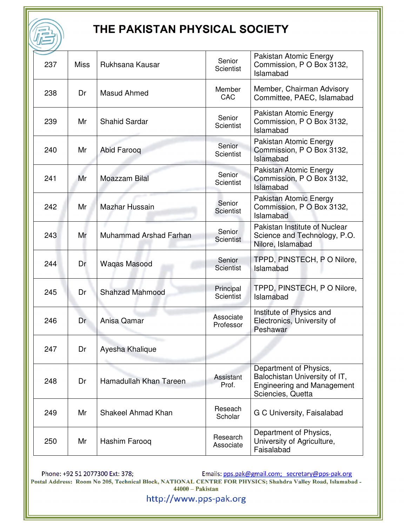| 237 | <b>Miss</b> | Rukhsana Kausar        | Senior<br><b>Scientist</b>    | Pakistan Atomic Energy<br>Commission, P O Box 3132,<br>Islamabad                                                  |
|-----|-------------|------------------------|-------------------------------|-------------------------------------------------------------------------------------------------------------------|
| 238 | Dr          | Masud Ahmed            | Member<br><b>CAC</b>          | Member, Chairman Advisory<br>Committee, PAEC, Islamabad                                                           |
| 239 | Mr          | <b>Shahid Sardar</b>   | Senior<br><b>Scientist</b>    | Pakistan Atomic Energy<br>Commission, P O Box 3132,<br>Islamabad                                                  |
| 240 | Mr          | Abid Farooq            | Senior<br><b>Scientist</b>    | Pakistan Atomic Energy<br>Commission, P O Box 3132,<br>Islamabad                                                  |
| 241 | Mr          | Moazzam Bilal          | Senior<br><b>Scientist</b>    | Pakistan Atomic Energy<br>Commission, P O Box 3132,<br>Islamabad                                                  |
| 242 | Mr          | Mazhar Hussain         | Senior<br><b>Scientist</b>    | Pakistan Atomic Energy<br>Commission, P O Box 3132,<br>Islamabad                                                  |
| 243 | Mr          | Muhammad Arshad Farhan | Senior<br><b>Scientist</b>    | Pakistan Institute of Nuclear<br>Science and Technology, P.O.<br>Nilore, Islamabad                                |
| 244 | Dr          | Waqas Masood           | Senior<br><b>Scientist</b>    | TPPD, PINSTECH, PO Nilore,<br>Islamabad                                                                           |
| 245 | Dr          | <b>Shahzad Mahmood</b> | Principal<br><b>Scientist</b> | TPPD, PINSTECH, PO Nilore,<br>Islamabad                                                                           |
| 246 | Dr          | Anisa Qamar            | Associate<br>Professor        | Institute of Physics and<br>Electronics, University of<br>Peshawar                                                |
| 247 | Dr          | Ayesha Khalique        |                               |                                                                                                                   |
| 248 | Dr          | Hamadullah Khan Tareen | Assistant<br>Prof.            | Department of Physics,<br>Balochistan University of IT,<br><b>Engineering and Management</b><br>Sciencies, Quetta |
| 249 | Mr          | Shakeel Ahmad Khan     | Reseach<br>Scholar            | G C University, Faisalabad                                                                                        |
| 250 | Mr          | Hashim Farooq          | Research<br>Associate         | Department of Physics,<br>University of Agriculture,<br>Faisalabad                                                |

Phone: +92 51 2077300 Ext: 378;<br>Postal Address: Room No 205, Technical Block, NATIONAL CENTRE FOR PHYSICS; Shahdra Valley Road, Islamabad -<br>44000 – Pakistan 44000 – Pakistan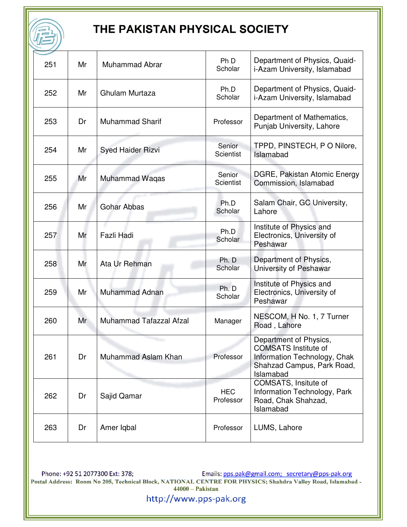| 251 | Mr | Muhammad Abrar           | Ph D<br>Scholar            | Department of Physics, Quaid-<br>i-Azam University, Islamabad                                                                    |
|-----|----|--------------------------|----------------------------|----------------------------------------------------------------------------------------------------------------------------------|
| 252 | Mr | Ghulam Murtaza           | Ph.D<br>Scholar            | Department of Physics, Quaid-<br>i-Azam University, Islamabad                                                                    |
| 253 | Dr | <b>Muhammad Sharif</b>   | Professor                  | Department of Mathematics,<br>Punjab University, Lahore                                                                          |
| 254 | Mr | <b>Syed Haider Rizvi</b> | Senior<br><b>Scientist</b> | TPPD, PINSTECH, PO Nilore,<br>Islamabad                                                                                          |
| 255 | Mr | <b>Muhammad Waqas</b>    | Senior<br>Scientist        | DGRE, Pakistan Atomic Energy<br>Commission, Islamabad                                                                            |
| 256 | Mr | Gohar Abbas              | Ph.D<br>Scholar            | Salam Chair, GC University,<br>Lahore                                                                                            |
| 257 | Mr | Fazli Hadi               | Ph.D<br>Scholar            | Institute of Physics and<br>Electronics, University of<br>Peshawar                                                               |
| 258 | Mr | Ata Ur Rehman            | Ph. D<br>Scholar           | Department of Physics,<br>University of Peshawar                                                                                 |
| 259 | Mr | Muhammad Adnan           | Ph. D<br>Scholar           | Institute of Physics and<br>Electronics, University of<br>Peshawar                                                               |
| 260 | Mr | Muhammad Tafazzal Afzal  | Manager                    | NESCOM, H No. 1, 7 Turner<br>Road, Lahore                                                                                        |
| 261 | Dr | Muhammad Aslam Khan      | Professor                  | Department of Physics,<br><b>COMSATS Institute of</b><br>Information Technology, Chak<br>Shahzad Campus, Park Road,<br>Islamabad |
| 262 | Dr | Sajid Qamar              | <b>HEC</b><br>Professor    | COMSATS, Insitute of<br>Information Technology, Park<br>Road, Chak Shahzad,<br>Islamabad                                         |
| 263 | Dr | Amer Iqbal               | Professor                  | LUMS, Lahore                                                                                                                     |

Phone: +92 51 2077300 Ext: 378;<br>Postal Address: Room No 205, Technical Block, NATIONAL CENTRE FOR PHYSICS; Shahdra Valley Road, Islamabad -<br>44000 – Pakistan 44000 – Pakistan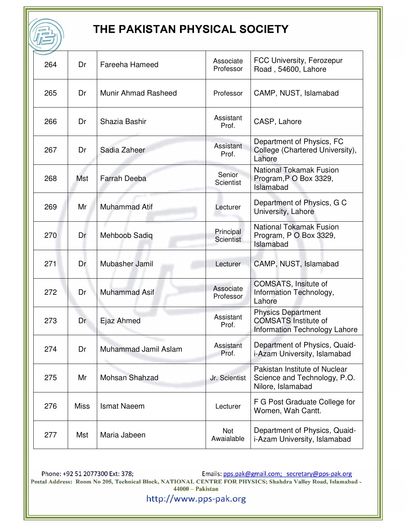| 264 | Dr          | <b>Fareeha Hameed</b> | Associate<br>Professor        | FCC University, Ferozepur<br>Road, 54600, Lahore                                          |
|-----|-------------|-----------------------|-------------------------------|-------------------------------------------------------------------------------------------|
| 265 | Dr          | Munir Ahmad Rasheed   | Professor                     | CAMP, NUST, Islamabad                                                                     |
| 266 | Dr          | Shazia Bashir         | Assistant<br>Prof.            | CASP, Lahore                                                                              |
| 267 | Dr          | Sadia Zaheer          | Assistant<br>Prof.            | Department of Physics, FC<br>College (Chartered University),<br>Lahore                    |
| 268 | <b>Mst</b>  | <b>Farrah Deeba</b>   | Senior<br>Scientist           | <b>National Tokamak Fusion</b><br>Program, P O Box 3329,<br>Islamabad                     |
| 269 | Mr          | <b>Muhammad Atif</b>  | Lecturer                      | Department of Physics, G C<br>University, Lahore                                          |
| 270 | Dr          | <b>Mehboob Sadiq</b>  | Principal<br><b>Scientist</b> | <b>National Tokamak Fusion</b><br>Program, P O Box 3329,<br>Islamabad                     |
| 271 | Dr          | Mubasher Jamil        | Lecturer                      | CAMP, NUST, Islamabad                                                                     |
| 272 | Dr          | <b>Muhammad Asif</b>  | Associate<br>Professor        | COMSATS, Insitute of<br>Information Technology,<br>Lahore                                 |
| 273 | Dr          | Ejaz Ahmed            | Assistant<br>Prof.            | <b>Physics Department</b><br><b>COMSATS Institute of</b><br>Information Technology Lahore |
| 274 | Dr          | Muhammad Jamil Aslam  | Assistant<br>Prof.            | Department of Physics, Quaid-<br>i-Azam University, Islamabad                             |
| 275 | Mr          | Mohsan Shahzad        | Jr. Scientist                 | Pakistan Institute of Nuclear<br>Science and Technology, P.O.<br>Nilore, Islamabad        |
| 276 | <b>Miss</b> | <b>Ismat Naeem</b>    | Lecturer                      | F G Post Graduate College for<br>Women, Wah Cantt.                                        |
| 277 | Mst         | Maria Jabeen          | Not<br>Awaialable             | Department of Physics, Quaid-<br>i-Azam University, Islamabad                             |

Phone: +92 51 2077300 Ext: 378;<br>Postal Address: Room No 205, Technical Block, NATIONAL CENTRE FOR PHYSICS; Shahdra Valley Road, Islamabad -<br>44000 – Pakistan 1990 – Pakistan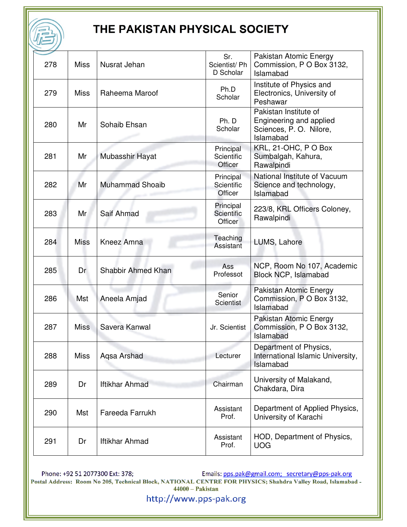| 278 | <b>Miss</b> | Nusrat Jehan           | Sr.<br>Scientist/Ph<br>D Scholar   | Pakistan Atomic Energy<br>Commission, P O Box 3132,<br>Islamabad                        |
|-----|-------------|------------------------|------------------------------------|-----------------------------------------------------------------------------------------|
| 279 | <b>Miss</b> | Raheema Maroof         | Ph.D<br>Scholar                    | Institute of Physics and<br>Electronics, University of<br>Peshawar                      |
| 280 | Mr          | Sohaib Ehsan           | Ph. D<br>Scholar                   | Pakistan Institute of<br>Engineering and applied<br>Sciences, P.O. Nilore,<br>Islamabad |
| 281 | Mr          | Mubasshir Hayat        | Principal<br>Scientific<br>Officer | KRL, 21-OHC, PO Box<br>Sumbalgah, Kahura,<br>Rawalpindi                                 |
| 282 | Mr          | <b>Muhammad Shoaib</b> | Principal<br>Scientific<br>Officer | National Institute of Vacuum<br>Science and technology,<br>Islamabad                    |
| 283 | Mr          | Saif Ahmad             | Principal<br>Scientific<br>Officer | 223/8, KRL Officers Coloney,<br>Rawalpindi                                              |
| 284 | <b>Miss</b> | Kneez Amna             | Teaching<br>Assistant              | LUMS, Lahore                                                                            |
| 285 | Dr          | Shabbir Ahmed Khan     | Ass<br>Professot                   | NCP, Room No 107, Academic<br>Block NCP, Islamabad                                      |
| 286 | Mst         | Aneela Amjad           | Senior<br><b>Scientist</b>         | Pakistan Atomic Energy<br>Commission, P O Box 3132,<br>Islamabad                        |
| 287 | <b>Miss</b> | Savera Kanwal          | Jr. Scientist                      | Pakistan Atomic Energy<br>Commission, P O Box 3132,<br>Islamabad                        |
| 288 | <b>Miss</b> | Aqsa Arshad            | Lecturer                           | Department of Physics,<br>International Islamic University,<br>Islamabad                |
| 289 | Dr          | <b>Iftikhar Ahmad</b>  | Chairman                           | University of Malakand,<br>Chakdara, Dira                                               |
| 290 | Mst         | Fareeda Farrukh        | Assistant<br>Prof.                 | Department of Applied Physics,<br>University of Karachi                                 |
| 291 | Dr          | <b>Iftikhar Ahmad</b>  | Assistant<br>Prof.                 | HOD, Department of Physics,<br><b>UOG</b>                                               |

Phone: +92 51 2077300 Ext: 378;<br>Postal Address: Room No 205, Technical Block, NATIONAL CENTRE FOR PHYSICS; Shahdra Valley Road, Islamabad -<br>44000 – Pakistan 44000 – Pakistan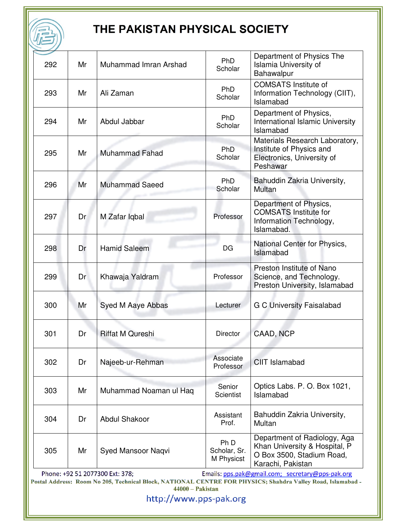盾

| 292              | Mr                                                                                                                                                                                                 | Muhammad Imran Arshad   | Ph <sub>D</sub><br>Scholar         | Department of Physics The<br>Islamia University of<br>Bahawalpur                                                |  |
|------------------|----------------------------------------------------------------------------------------------------------------------------------------------------------------------------------------------------|-------------------------|------------------------------------|-----------------------------------------------------------------------------------------------------------------|--|
| 293              | Mr                                                                                                                                                                                                 | Ali Zaman               | Ph <sub>D</sub><br>Scholar         | <b>COMSATS Institute of</b><br>Information Technology (CIIT),<br>Islamabad                                      |  |
| 294              | Mr                                                                                                                                                                                                 | Abdul Jabbar            | <b>PhD</b><br>Scholar              | Department of Physics,<br><b>International Islamic University</b><br>Islamabad                                  |  |
| 295              | Mr                                                                                                                                                                                                 | <b>Muhammad Fahad</b>   | PhD<br>Scholar                     | Materials Research Laboratory,<br>Institute of Physics and<br>Electronics, University of<br>Peshawar            |  |
| 296              | Mr                                                                                                                                                                                                 | <b>Muhammad Saeed</b>   | PhD<br>Scholar                     | Bahuddin Zakria University,<br>Multan                                                                           |  |
| 297              | Dr                                                                                                                                                                                                 | M Zafar Iqbal           | Professor                          | Department of Physics,<br><b>COMSATS Institute for</b><br>Information Technology,<br>Islamabad.                 |  |
| 298              | Dr                                                                                                                                                                                                 | <b>Hamid Saleem</b>     | DG                                 | National Center for Physics,<br>Islamabad                                                                       |  |
| 299              | Dr                                                                                                                                                                                                 | Khawaja Yaldram         | Professor                          | Preston Institute of Nano<br>Science, and Technology.<br>Preston University, Islamabad                          |  |
| 300              | Mr                                                                                                                                                                                                 | Syed M Aaye Abbas       | Lecturer                           | <b>G C University Faisalabad</b>                                                                                |  |
| 301              | Dr                                                                                                                                                                                                 | <b>Riffat M Qureshi</b> | <b>Director</b>                    | CAAD, NCP                                                                                                       |  |
| 302              | Dr                                                                                                                                                                                                 | Najeeb-ur-Rehman        | Associate<br>Professor             | <b>CIIT Islamabad</b>                                                                                           |  |
| 303              | Mr                                                                                                                                                                                                 | Muhammad Noaman ul Haq  | Senior<br><b>Scientist</b>         | Optics Labs. P. O. Box 1021,<br>Islamabad                                                                       |  |
| 304              | Dr                                                                                                                                                                                                 | <b>Abdul Shakoor</b>    | Assistant<br>Prof.                 | Bahuddin Zakria University,<br>Multan                                                                           |  |
| 305              | Mr                                                                                                                                                                                                 | Syed Mansoor Naqvi      | Ph D<br>Scholar, Sr.<br>M Physicst | Department of Radiology, Aga<br>Khan University & Hospital, P<br>O Box 3500, Stadium Road,<br>Karachi, Pakistan |  |
|                  | Emails: pps.pak@gmail.com; secretary@pps-pak.org<br>Phone: +92 51 2077300 Ext: 378;<br>Postal Address: Room No 205, Technical Block, NATIONAL CENTRE FOR PHYSICS; Shahdra Valley Road, Islamabad - |                         |                                    |                                                                                                                 |  |
| 44000 - Pakistan |                                                                                                                                                                                                    |                         |                                    |                                                                                                                 |  |
|                  | http://www.pps-pak.org                                                                                                                                                                             |                         |                                    |                                                                                                                 |  |